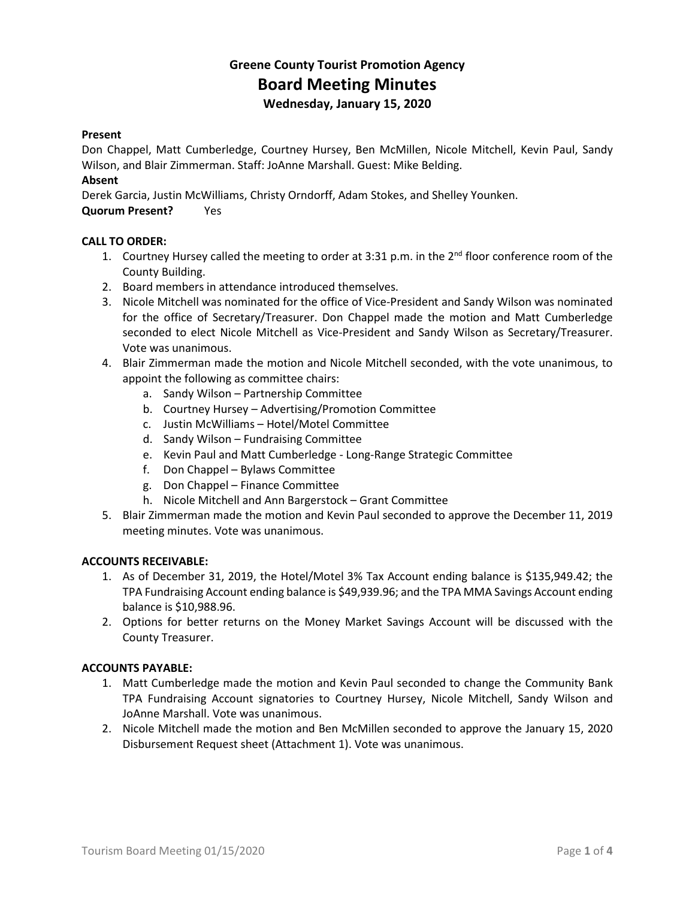## **Greene County Tourist Promotion Agency Board Meeting Minutes Wednesday, January 15, 2020**

### **Present**

Don Chappel, Matt Cumberledge, Courtney Hursey, Ben McMillen, Nicole Mitchell, Kevin Paul, Sandy Wilson, and Blair Zimmerman. Staff: JoAnne Marshall. Guest: Mike Belding.

### **Absent**

Derek Garcia, Justin McWilliams, Christy Orndorff, Adam Stokes, and Shelley Younken.

### **Quorum Present?** Yes

### **CALL TO ORDER:**

- 1. Courtney Hursey called the meeting to order at 3:31 p.m. in the  $2^{nd}$  floor conference room of the County Building.
- 2. Board members in attendance introduced themselves.
- 3. Nicole Mitchell was nominated for the office of Vice-President and Sandy Wilson was nominated for the office of Secretary/Treasurer. Don Chappel made the motion and Matt Cumberledge seconded to elect Nicole Mitchell as Vice-President and Sandy Wilson as Secretary/Treasurer. Vote was unanimous.
- 4. Blair Zimmerman made the motion and Nicole Mitchell seconded, with the vote unanimous, to appoint the following as committee chairs:
	- a. Sandy Wilson Partnership Committee
	- b. Courtney Hursey Advertising/Promotion Committee
	- c. Justin McWilliams Hotel/Motel Committee
	- d. Sandy Wilson Fundraising Committee
	- e. Kevin Paul and Matt Cumberledge Long-Range Strategic Committee
	- f. Don Chappel Bylaws Committee
	- g. Don Chappel Finance Committee
	- h. Nicole Mitchell and Ann Bargerstock Grant Committee
- 5. Blair Zimmerman made the motion and Kevin Paul seconded to approve the December 11, 2019 meeting minutes. Vote was unanimous.

### **ACCOUNTS RECEIVABLE:**

- 1. As of December 31, 2019, the Hotel/Motel 3% Tax Account ending balance is \$135,949.42; the TPA Fundraising Account ending balance is \$49,939.96; and the TPA MMA Savings Account ending balance is \$10,988.96.
- 2. Options for better returns on the Money Market Savings Account will be discussed with the County Treasurer.

### **ACCOUNTS PAYABLE:**

- 1. Matt Cumberledge made the motion and Kevin Paul seconded to change the Community Bank TPA Fundraising Account signatories to Courtney Hursey, Nicole Mitchell, Sandy Wilson and JoAnne Marshall. Vote was unanimous.
- 2. Nicole Mitchell made the motion and Ben McMillen seconded to approve the January 15, 2020 Disbursement Request sheet (Attachment 1). Vote was unanimous.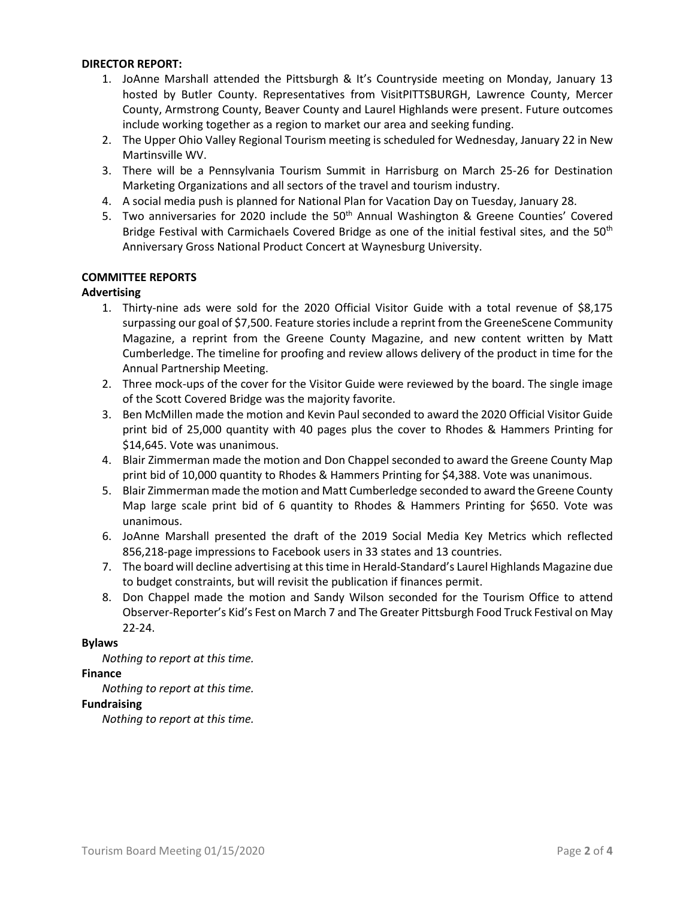### **DIRECTOR REPORT:**

- 1. JoAnne Marshall attended the Pittsburgh & It's Countryside meeting on Monday, January 13 hosted by Butler County. Representatives from VisitPITTSBURGH, Lawrence County, Mercer County, Armstrong County, Beaver County and Laurel Highlands were present. Future outcomes include working together as a region to market our area and seeking funding.
- 2. The Upper Ohio Valley Regional Tourism meeting is scheduled for Wednesday, January 22 in New Martinsville WV.
- 3. There will be a Pennsylvania Tourism Summit in Harrisburg on March 25-26 for Destination Marketing Organizations and all sectors of the travel and tourism industry.
- 4. A social media push is planned for National Plan for Vacation Day on Tuesday, January 28.
- 5. Two anniversaries for 2020 include the  $50<sup>th</sup>$  Annual Washington & Greene Counties' Covered Bridge Festival with Carmichaels Covered Bridge as one of the initial festival sites, and the 50<sup>th</sup> Anniversary Gross National Product Concert at Waynesburg University.

### **COMMITTEE REPORTS**

### **Advertising**

- 1. Thirty-nine ads were sold for the 2020 Official Visitor Guide with a total revenue of \$8,175 surpassing our goal of \$7,500. Feature stories include a reprint from the GreeneScene Community Magazine, a reprint from the Greene County Magazine, and new content written by Matt Cumberledge. The timeline for proofing and review allows delivery of the product in time for the Annual Partnership Meeting.
- 2. Three mock-ups of the cover for the Visitor Guide were reviewed by the board. The single image of the Scott Covered Bridge was the majority favorite.
- 3. Ben McMillen made the motion and Kevin Paul seconded to award the 2020 Official Visitor Guide print bid of 25,000 quantity with 40 pages plus the cover to Rhodes & Hammers Printing for \$14,645. Vote was unanimous.
- 4. Blair Zimmerman made the motion and Don Chappel seconded to award the Greene County Map print bid of 10,000 quantity to Rhodes & Hammers Printing for \$4,388. Vote was unanimous.
- 5. Blair Zimmerman made the motion and Matt Cumberledge seconded to award the Greene County Map large scale print bid of 6 quantity to Rhodes & Hammers Printing for \$650. Vote was unanimous.
- 6. JoAnne Marshall presented the draft of the 2019 Social Media Key Metrics which reflected 856,218-page impressions to Facebook users in 33 states and 13 countries.
- 7. The board will decline advertising at this time in Herald-Standard's Laurel Highlands Magazine due to budget constraints, but will revisit the publication if finances permit.
- 8. Don Chappel made the motion and Sandy Wilson seconded for the Tourism Office to attend Observer-Reporter's Kid's Fest on March 7 and The Greater Pittsburgh Food Truck Festival on May 22-24.

### **Bylaws**

*Nothing to report at this time.*

### **Finance**

*Nothing to report at this time.*

### **Fundraising**

*Nothing to report at this time.*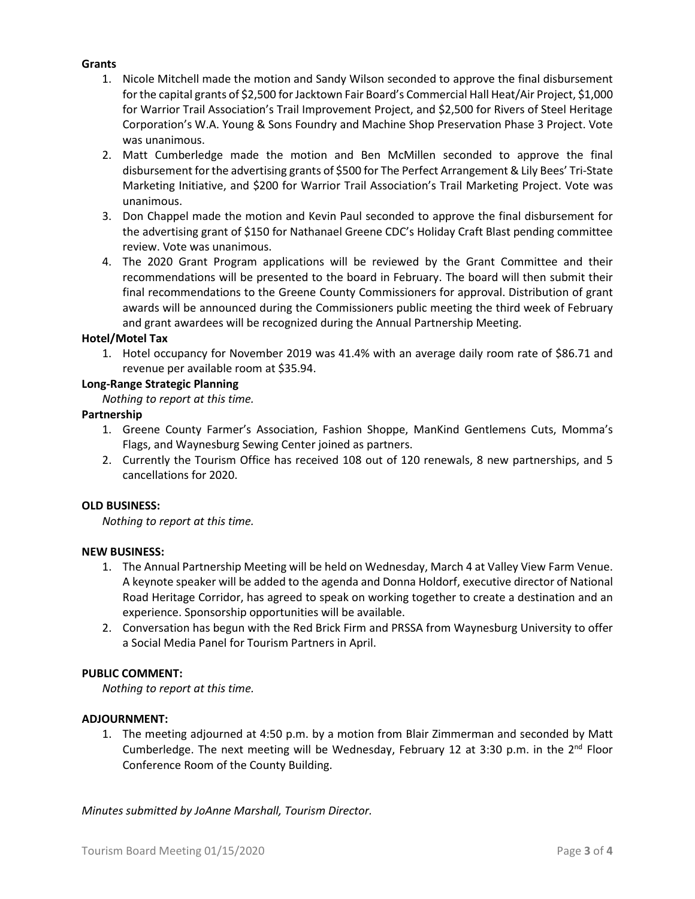### **Grants**

- 1. Nicole Mitchell made the motion and Sandy Wilson seconded to approve the final disbursement for the capital grants of \$2,500 for Jacktown Fair Board's Commercial Hall Heat/Air Project, \$1,000 for Warrior Trail Association's Trail Improvement Project, and \$2,500 for Rivers of Steel Heritage Corporation's W.A. Young & Sons Foundry and Machine Shop Preservation Phase 3 Project. Vote was unanimous.
- 2. Matt Cumberledge made the motion and Ben McMillen seconded to approve the final disbursement for the advertising grants of \$500 for The Perfect Arrangement & Lily Bees' Tri-State Marketing Initiative, and \$200 for Warrior Trail Association's Trail Marketing Project. Vote was unanimous.
- 3. Don Chappel made the motion and Kevin Paul seconded to approve the final disbursement for the advertising grant of \$150 for Nathanael Greene CDC's Holiday Craft Blast pending committee review. Vote was unanimous.
- 4. The 2020 Grant Program applications will be reviewed by the Grant Committee and their recommendations will be presented to the board in February. The board will then submit their final recommendations to the Greene County Commissioners for approval. Distribution of grant awards will be announced during the Commissioners public meeting the third week of February and grant awardees will be recognized during the Annual Partnership Meeting.

### **Hotel/Motel Tax**

1. Hotel occupancy for November 2019 was 41.4% with an average daily room rate of \$86.71 and revenue per available room at \$35.94.

### **Long-Range Strategic Planning**

*Nothing to report at this time.*

### **Partnership**

- 1. Greene County Farmer's Association, Fashion Shoppe, ManKind Gentlemens Cuts, Momma's Flags, and Waynesburg Sewing Center joined as partners.
- 2. Currently the Tourism Office has received 108 out of 120 renewals, 8 new partnerships, and 5 cancellations for 2020.

#### **OLD BUSINESS:**

*Nothing to report at this time.*

#### **NEW BUSINESS:**

- 1. The Annual Partnership Meeting will be held on Wednesday, March 4 at Valley View Farm Venue. A keynote speaker will be added to the agenda and Donna Holdorf, executive director of National Road Heritage Corridor, has agreed to speak on working together to create a destination and an experience. Sponsorship opportunities will be available.
- 2. Conversation has begun with the Red Brick Firm and PRSSA from Waynesburg University to offer a Social Media Panel for Tourism Partners in April.

### **PUBLIC COMMENT:**

*Nothing to report at this time.*

#### **ADJOURNMENT:**

1. The meeting adjourned at 4:50 p.m. by a motion from Blair Zimmerman and seconded by Matt Cumberledge. The next meeting will be Wednesday, February 12 at 3:30 p.m. in the  $2^{nd}$  Floor Conference Room of the County Building.

*Minutes submitted by JoAnne Marshall, Tourism Director.*